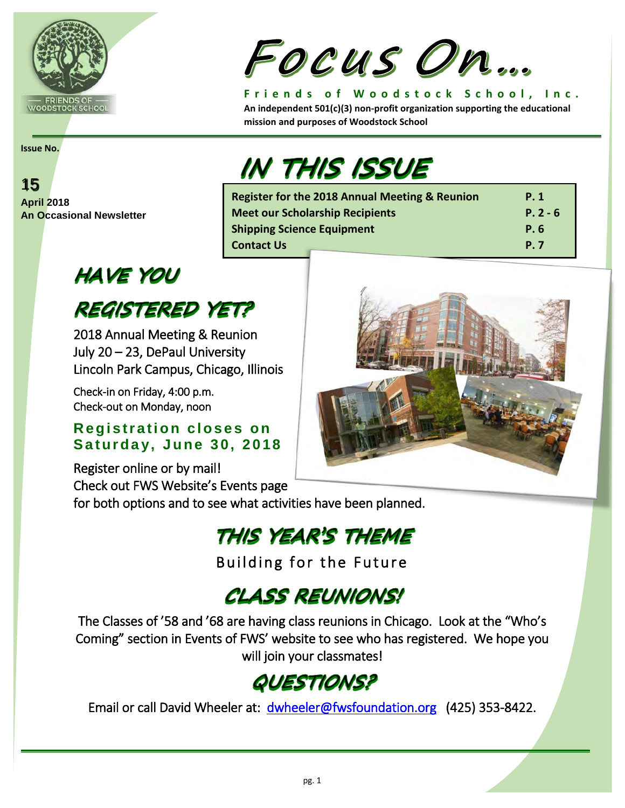

# Focus On...

**Register for the 2018 Annual Meeting & Reunion P. 1 Meet our Scholarship Recipients P. 2 - 6 Shipping Science Equipment P.6 P.6 Contact Us P. 7 Contact Us** 

**Friends of Woodstock School, Inc. An independent 501(c)(3) non-profit organization supporting the educational mission and purposes of Woodstock School**

#### **Issue No.**



# **HAVE YOU**

## **REGISTERED YET?**

2018 Annual Meeting & Reunion July 20 – 23, DePaul University Lincoln Park Campus, Chicago, Illinois

Check-in on Friday, 4:00 p.m. Check-out on Monday, noon

#### **Registration closes on**  Saturday, June 30, 2018

Register online or by mail! Check out FWS Website's Events page

for both options and to see what activities have been planned.

# THIS YEAR'S THEME

Building for the Future

# CLASS REUNIONS!

The Classes of '58 and '68 are having class reunions in Chicago. Look at the "Who's Coming" section in Events of FWS' website to see who has registered. We hope you will join your classmates!

# QUESTIONS?

Email or call David Wheeler at: [dwheeler@fwsfoundation.org](mailto:dwheeler@fwsfoundation.org) (425) 353-8422.



**IN THIS ISSUE**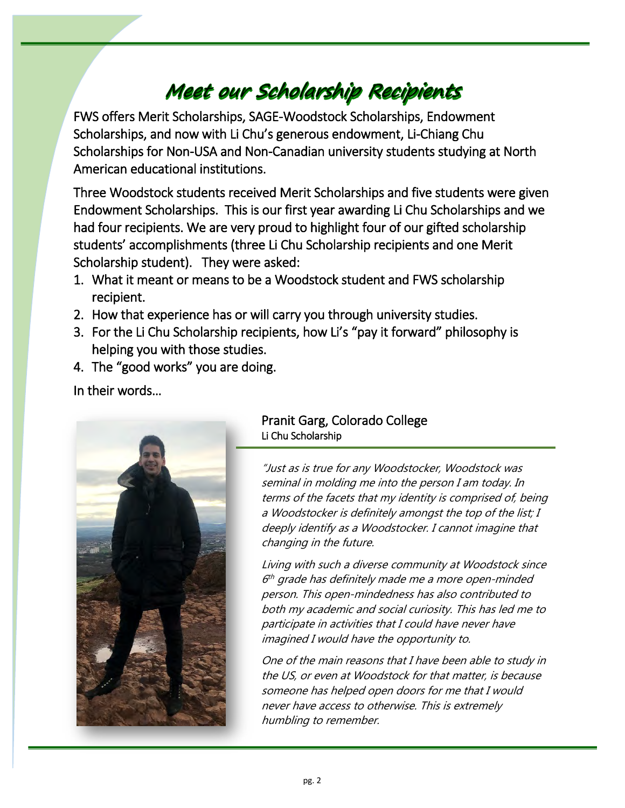# Meet our Scholarship Recipients

FWS offers Merit Scholarships, SAGE-Woodstock Scholarships, Endowment Scholarships, and now with Li Chu's generous endowment, Li-Chiang Chu Scholarships for Non-USA and Non-Canadian university students studying at North American educational institutions.

Three Woodstock students received Merit Scholarships and five students were given Endowment Scholarships. This is our first year awarding Li Chu Scholarships and we had four recipients. We are very proud to highlight four of our gifted scholarship students' accomplishments (three Li Chu Scholarship recipients and one Merit Scholarship student). They were asked:

- 1. What it meant or means to be a Woodstock student and FWS scholarship recipient.
- 2. How that experience has or will carry you through university studies.

Ī

- 3. For the Li Chu Scholarship recipients, how Li's "pay it forward" philosophy is helping you with those studies.
- 4. The "good works" you are doing.

In their words…



#### Pranit Garg, Colorado College Li Chu Scholarship

"Just as is true for any Woodstocker, Woodstock was seminal in molding me into the person I am today. In terms of the facets that my identity is comprised of, being a Woodstocker is definitely amongst the top of the list; I deeply identify as a Woodstocker. I cannot imagine that changing in the future.

Living with such a diverse community at Woodstock since  $6<sup>th</sup>$  grade has definitely made me a more open-minded person. This open-mindedness has also contributed to both my academic and social curiosity. This has led me to participate in activities that I could have never have imagined I would have the opportunity to.

One of the main reasons that I have been able to study in the US, or even at Woodstock for that matter, is because someone has helped open doors for me that I would never have access to otherwise. This is extremely humbling to remember.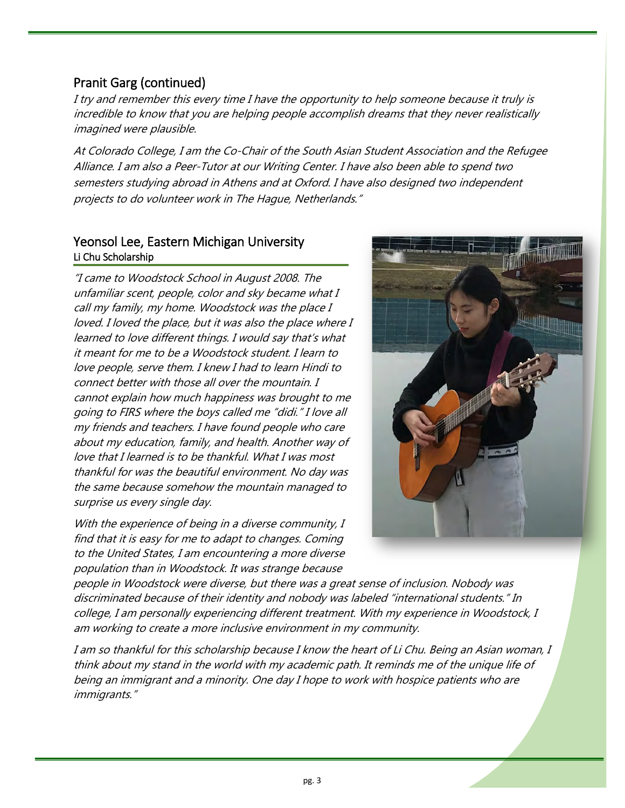#### Pranit Garg (continued)

I try and remember this every time I have the opportunity to help someone because it truly is incredible to know that you are helping people accomplish dreams that they never realistically imagined were plausible.

At Colorado College, I am the Co-Chair of the South Asian Student Association and the Refugee Alliance. I am also a Peer-Tutor at our Writing Center. I have also been able to spend two semesters studying abroad in Athens and at Oxford. I have also designed two independent projects to do volunteer work in The Hague, Netherlands."

#### Yeonsol Lee, Eastern Michigan University Li Chu Scholarship

"I came to Woodstock School in August 2008. The unfamiliar scent, people, color and sky became what I call my family, my home. Woodstock was the place I loved. I loved the place, but it was also the place where I learned to love different things. I would say that's what it meant for me to be a Woodstock student. I learn to love people, serve them. I knew I had to learn Hindi to connect better with those all over the mountain. I cannot explain how much happiness was brought to me going to FIRS where the boys called me "didi." I love all my friends and teachers. I have found people who care about my education, family, and health. Another way of love that I learned is to be thankful. What I was most thankful for was the beautiful environment. No day was the same because somehow the mountain managed to surprise us every single day.

With the experience of being in a diverse community, I find that it is easy for me to adapt to changes. Coming to the United States, I am encountering a more diverse population than in Woodstock. It was strange because



people in Woodstock were diverse, but there was a great sense of inclusion. Nobody was discriminated because of their identity and nobody was labeled "international students." In college, I am personally experiencing different treatment. With my experience in Woodstock, I am working to create a more inclusive environment in my community.

I am so thankful for this scholarship because I know the heart of Li Chu. Being an Asian woman, I think about my stand in the world with my academic path. It reminds me of the unique life of being an immigrant and a minority. One day I hope to work with hospice patients who are immigrants."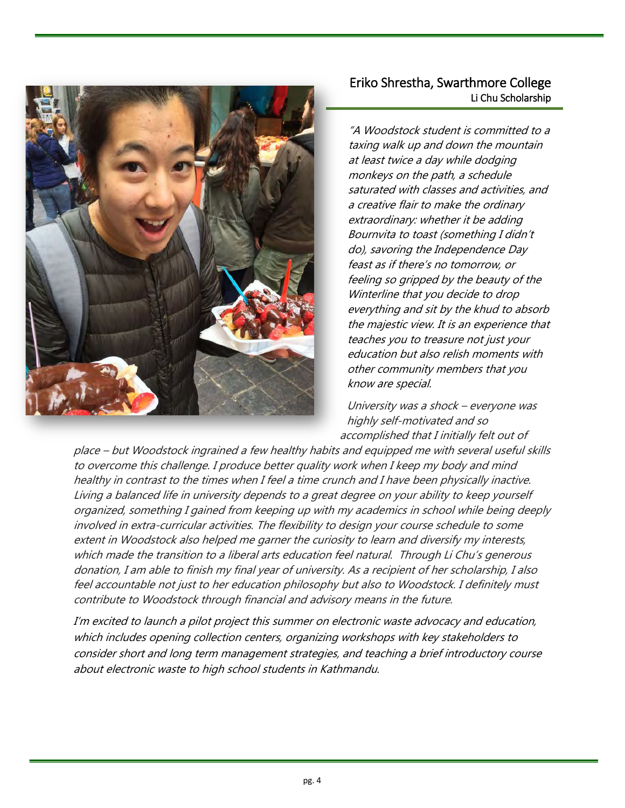

#### Eriko Shrestha, Swarthmore College Li Chu Scholarship

Ĩ

"A Woodstock student is committed to a taxing walk up and down the mountain at least twice a day while dodging monkeys on the path, a schedule saturated with classes and activities, and a creative flair to make the ordinary extraordinary: whether it be adding Bournvita to toast (something I didn't do), savoring the Independence Day feast as if there's no tomorrow, or feeling so gripped by the beauty of the Winterline that you decide to drop everything and sit by the khud to absorb the majestic view. It is an experience that teaches you to treasure not just your education but also relish moments with other community members that you know are special.

University was a shock – everyone was highly self-motivated and so accomplished that I initially felt out of

place – but Woodstock ingrained a few healthy habits and equipped me with several useful skills to overcome this challenge. I produce better quality work when I keep my body and mind healthy in contrast to the times when I feel a time crunch and I have been physically inactive. Living a balanced life in university depends to a great degree on your ability to keep yourself organized, something I gained from keeping up with my academics in school while being deeply involved in extra-curricular activities. The flexibility to design your course schedule to some extent in Woodstock also helped me garner the curiosity to learn and diversify my interests, which made the transition to a liberal arts education feel natural. Through Li Chu's generous donation, I am able to finish my final year of university. As a recipient of her scholarship, I also feel accountable not just to her education philosophy but also to Woodstock. I definitely must contribute to Woodstock through financial and advisory means in the future.

I'm excited to launch a pilot project this summer on electronic waste advocacy and education, which includes opening collection centers, organizing workshops with key stakeholders to consider short and long term management strategies, and teaching a brief introductory course about electronic waste to high school students in Kathmandu.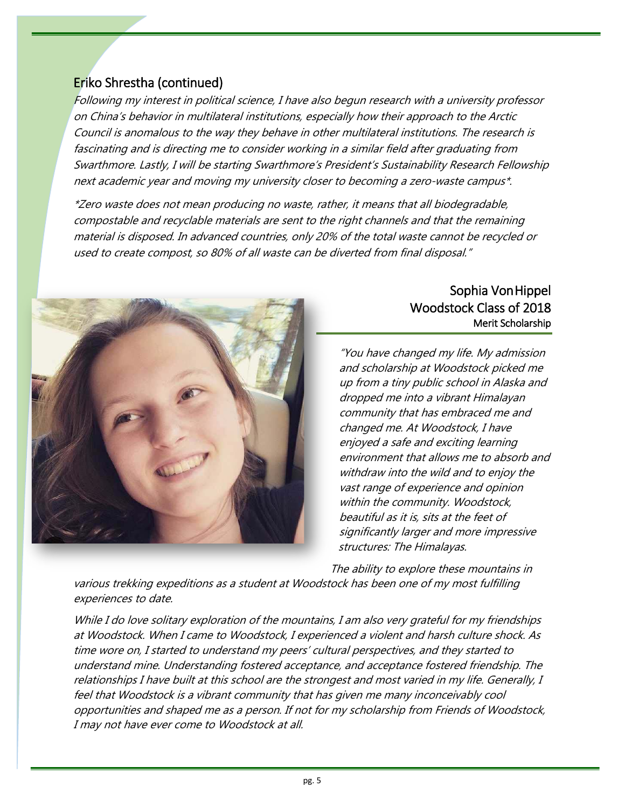#### Eriko Shrestha (continued)

Following my interest in political science, I have also begun research with a university professor on China's behavior in multilateral institutions, especially how their approach to the Arctic Council is anomalous to the way they behave in other multilateral institutions. The research is fascinating and is directing me to consider working in a similar field after graduating from Swarthmore. Lastly, I will be starting Swarthmore's President's Sustainability Research Fellowship next academic year and moving my university closer to becoming a zero-waste campus\*.

\*Zero waste does not mean producing no waste, rather, it means that all biodegradable, compostable and recyclable materials are sent to the right channels and that the remaining material is disposed. In advanced countries, only 20% of the total waste cannot be recycled or used to create compost, so 80% of all waste can be diverted from final disposal."



#### Sophia Von Hippel Woodstock Class of 2018 Merit Scholarship

"You have changed my life. My admission and scholarship at Woodstock picked me up from a tiny public school in Alaska and dropped me into a vibrant Himalayan community that has embraced me and changed me. At Woodstock, I have enjoyed a safe and exciting learning environment that allows me to absorb and withdraw into the wild and to enjoy the vast range of experience and opinion within the community. Woodstock, beautiful as it is, sits at the feet of significantly larger and more impressive structures: The Himalayas.

The ability to explore these mountains in

various trekking expeditions as a student at Woodstock has been one of my most fulfilling experiences to date.

While I do love solitary exploration of the mountains, I am also very grateful for my friendships at Woodstock. When I came to Woodstock, I experienced a violent and harsh culture shock. As time wore on, I started to understand my peers' cultural perspectives, and they started to understand mine. Understanding fostered acceptance, and acceptance fostered friendship. The relationships I have built at this school are the strongest and most varied in my life. Generally, I feel that Woodstock is a vibrant community that has given me many inconceivably cool opportunities and shaped me as a person. If not for my scholarship from Friends of Woodstock, I may not have ever come to Woodstock at all.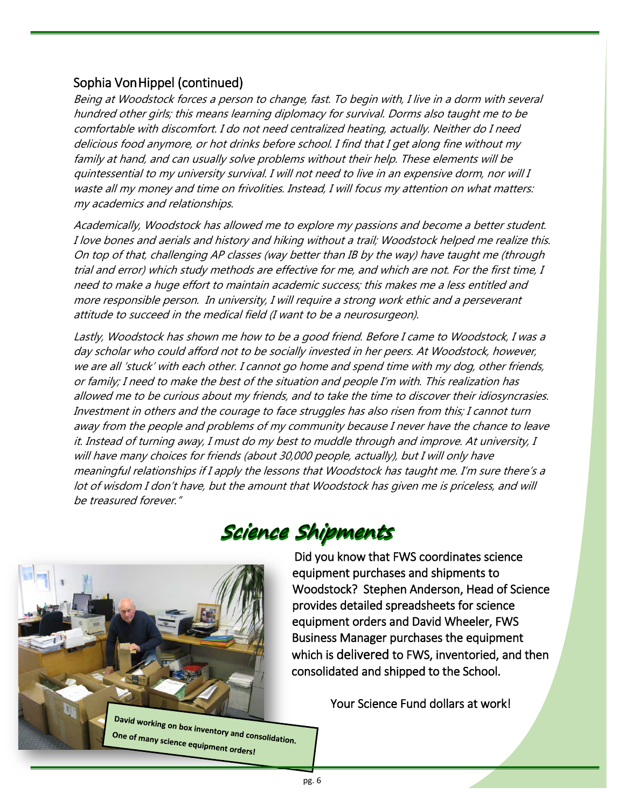#### Sophia Von Hippel (continued)

Being at Woodstock forces a person to change, fast. To begin with, I live in a dorm with several hundred other girls; this means learning diplomacy for survival. Dorms also taught me to be comfortable with discomfort. I do not need centralized heating, actually. Neither do I need delicious food anymore, or hot drinks before school. I find that I get along fine without my family at hand, and can usually solve problems without their help. These elements will be quintessential to my university survival. I will not need to live in an expensive dorm, nor will I waste all my money and time on frivolities. Instead, I will focus my attention on what matters: my academics and relationships.

Academically, Woodstock has allowed me to explore my passions and become a better student. I love bones and aerials and history and hiking without a trail; Woodstock helped me realize this. On top of that, challenging AP classes (way better than IB by the way) have taught me (through trial and error) which study methods are effective for me, and which are not. For the first time, I need to make a huge effort to maintain academic success; this makes me a less entitled and more responsible person. In university, I will require a strong work ethic and a perseverant attitude to succeed in the medical field (I want to be a neurosurgeon).

Lastly, Woodstock has shown me how to be a good friend. Before I came to Woodstock, I was a day scholar who could afford not to be socially invested in her peers. At Woodstock, however, we are all 'stuck' with each other. I cannot go home and spend time with my dog, other friends, or family; I need to make the best of the situation and people I'm with. This realization has allowed me to be curious about my friends, and to take the time to discover their idiosyncrasies. Investment in others and the courage to face struggles has also risen from this; I cannot turn away from the people and problems of my community because I never have the chance to leave it. Instead of turning away, I must do my best to muddle through and improve. At university, I will have many choices for friends (about 30,000 people, actually), but I will only have meaningful relationships if I apply the lessons that Woodstock has taught me. I'm sure there's a lot of wisdom I don't have, but the amount that Woodstock has given me is priceless, and will be treasured forever."



# Science Shipments

Did you know that FWS coordinates science equipment purchases and shipments to Woodstock? Stephen Anderson, Head of Science provides detailed spreadsheets for science equipment orders and David Wheeler, FWS Business Manager purchases the equipment which is delivered to FWS, inventoried, and then consolidated and shipped to the School.